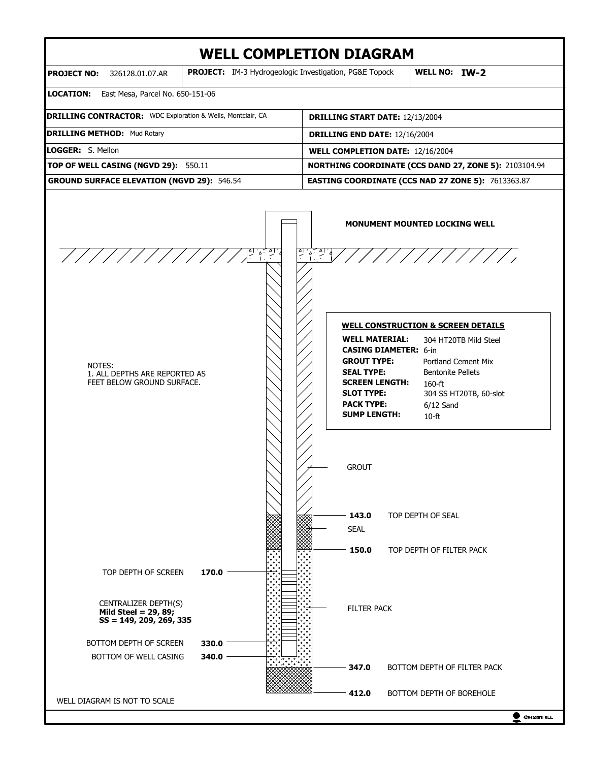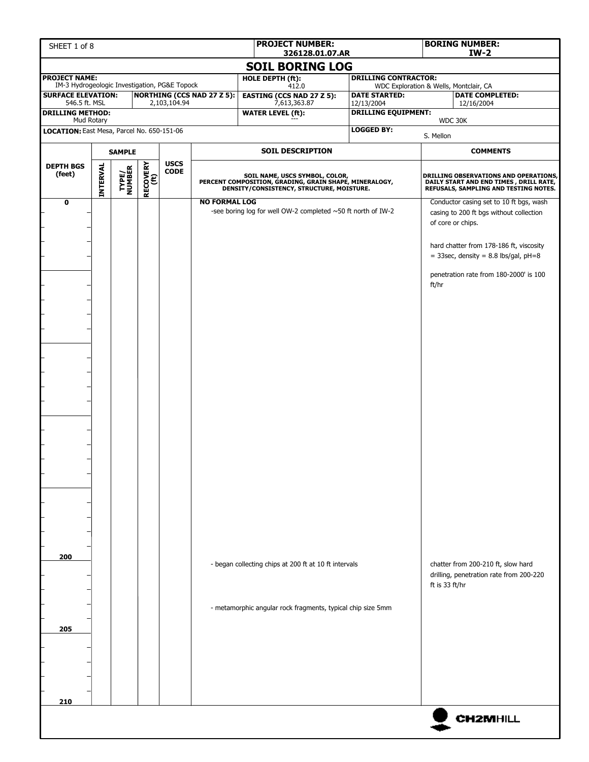| <b>PROJECT NAME:</b><br>IM-3 Hydrogeologic Investigation, PG&E Topock<br><b>SURFACE ELEVATION:</b><br>546.5 ft. MSL<br><b>DRILLING METHOD:</b><br>Mud Rotary<br>LOCATION: East Mesa, Parcel No. 650-151-06<br><b>SAMPLE</b><br><b>INTERVAL</b><br><b>DEPTH BGS</b><br>(feet)<br>$\mathbf 0$ | RECOVERY<br>(ft)<br><b>TYPE/<br/>NUMBER</b> | 2,103,104.94<br><b>USCS</b><br><b>CODE</b> | <b>NORTHING (CCS NAD 27 Z 5):</b> | 326128.01.07.AR<br><b>SOIL BORING LOG</b><br>HOLE DEPTH (ft):<br>412.0<br><b>EASTING (CCS NAD 27 Z 5):</b><br>7,613,363.87<br><b>WATER LEVEL (ft):</b><br><b>SOIL DESCRIPTION</b>    | <b>DRILLING CONTRACTOR:</b><br><b>DATE STARTED:</b><br>12/13/2004<br><b>DRILLING EQUIPMENT:</b><br><b>LOGGED BY:</b> | WDC Exploration & Wells, Montclair, CA<br>WDC 30K<br>S. Mellon                                                            | <b>DATE COMPLETED:</b><br>12/16/2004                                                                                                                                                                                                                                                               |  |
|---------------------------------------------------------------------------------------------------------------------------------------------------------------------------------------------------------------------------------------------------------------------------------------------|---------------------------------------------|--------------------------------------------|-----------------------------------|--------------------------------------------------------------------------------------------------------------------------------------------------------------------------------------|----------------------------------------------------------------------------------------------------------------------|---------------------------------------------------------------------------------------------------------------------------|----------------------------------------------------------------------------------------------------------------------------------------------------------------------------------------------------------------------------------------------------------------------------------------------------|--|
|                                                                                                                                                                                                                                                                                             |                                             |                                            |                                   |                                                                                                                                                                                      |                                                                                                                      |                                                                                                                           |                                                                                                                                                                                                                                                                                                    |  |
|                                                                                                                                                                                                                                                                                             |                                             |                                            |                                   |                                                                                                                                                                                      |                                                                                                                      |                                                                                                                           |                                                                                                                                                                                                                                                                                                    |  |
|                                                                                                                                                                                                                                                                                             |                                             |                                            |                                   |                                                                                                                                                                                      |                                                                                                                      |                                                                                                                           |                                                                                                                                                                                                                                                                                                    |  |
|                                                                                                                                                                                                                                                                                             |                                             |                                            |                                   |                                                                                                                                                                                      |                                                                                                                      |                                                                                                                           |                                                                                                                                                                                                                                                                                                    |  |
|                                                                                                                                                                                                                                                                                             |                                             |                                            |                                   |                                                                                                                                                                                      |                                                                                                                      |                                                                                                                           |                                                                                                                                                                                                                                                                                                    |  |
|                                                                                                                                                                                                                                                                                             |                                             |                                            |                                   |                                                                                                                                                                                      |                                                                                                                      |                                                                                                                           |                                                                                                                                                                                                                                                                                                    |  |
|                                                                                                                                                                                                                                                                                             |                                             |                                            |                                   |                                                                                                                                                                                      |                                                                                                                      |                                                                                                                           | <b>COMMENTS</b>                                                                                                                                                                                                                                                                                    |  |
|                                                                                                                                                                                                                                                                                             |                                             |                                            |                                   | SOIL NAME, USCS SYMBOL, COLOR,<br>PERCENT COMPOSITION, GRADING, GRAIN SHAPE, MINERALOGY,<br>DENSITY/CONSISTENCY, STRUCTURE, MOISTURE.                                                |                                                                                                                      | DRILLING OBSERVATIONS AND OPERATIONS,<br>DAILY START AND END TIMES , DRILL RATE,<br>REFUSALS, SAMPLING AND TESTING NOTES. |                                                                                                                                                                                                                                                                                                    |  |
| 200<br>205                                                                                                                                                                                                                                                                                  |                                             |                                            | <b>NO FORMAL LOG</b>              | -see boring log for well OW-2 completed ~50 ft north of IW-2<br>- began collecting chips at 200 ft at 10 ft intervals<br>- metamorphic angular rock fragments, typical chip size 5mm |                                                                                                                      | of core or chips.<br>ft/hr<br>ft is 33 ft/hr                                                                              | Conductor casing set to 10 ft bgs, wash<br>casing to 200 ft bgs without collection<br>hard chatter from 178-186 ft, viscosity<br>$=$ 33sec, density = 8.8 lbs/gal, pH=8<br>penetration rate from 180-2000' is 100<br>chatter from 200-210 ft, slow hard<br>drilling, penetration rate from 200-220 |  |
| 210                                                                                                                                                                                                                                                                                         |                                             |                                            |                                   |                                                                                                                                                                                      |                                                                                                                      |                                                                                                                           | <b>CH2MHILL</b>                                                                                                                                                                                                                                                                                    |  |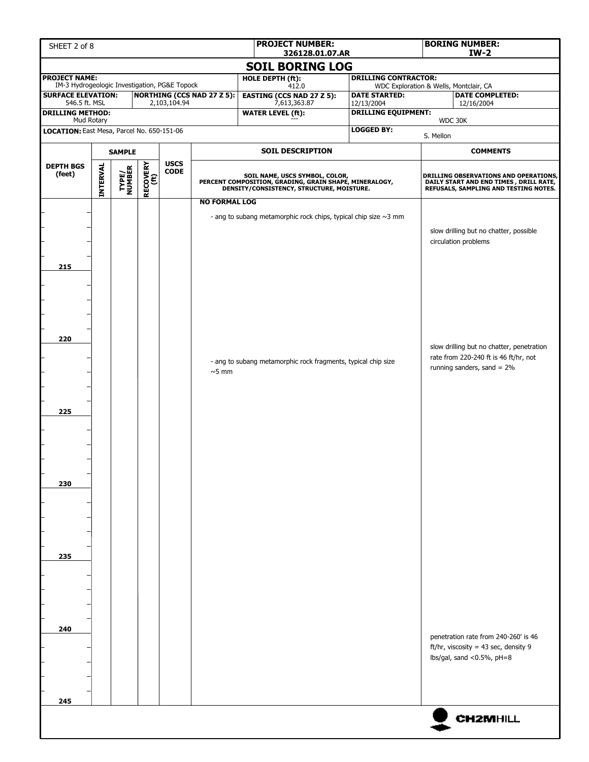| SHEET 2 of 8                                                          |          |                         |                         |              |                                   | <b>PROJECT NUMBER:</b><br>326128.01.07.AR                                                                                             |                                    |           | <b>BORING NUMBER:</b><br>$IW-2$                                                                                                 |  |
|-----------------------------------------------------------------------|----------|-------------------------|-------------------------|--------------|-----------------------------------|---------------------------------------------------------------------------------------------------------------------------------------|------------------------------------|-----------|---------------------------------------------------------------------------------------------------------------------------------|--|
|                                                                       |          |                         |                         |              |                                   | <b>SOIL BORING LOG</b>                                                                                                                |                                    |           |                                                                                                                                 |  |
| <b>PROJECT NAME:</b><br>IM-3 Hydrogeologic Investigation, PG&E Topock |          |                         |                         |              |                                   | <b>HOLE DEPTH (ft):</b><br>412.0                                                                                                      | <b>DRILLING CONTRACTOR:</b>        |           | WDC Exploration & Wells, Montclair, CA                                                                                          |  |
| <b>SURFACE ELEVATION:</b><br>546.5 ft. MSL                            |          |                         |                         | 2,103,104.94 | <b>NORTHING (CCS NAD 27 Z 5):</b> | <b>EASTING (CCS NAD 27 Z 5):</b><br>7,613,363.87                                                                                      | <b>DATE STARTED:</b><br>12/13/2004 |           | <b>DATE COMPLETED:</b><br>12/16/2004                                                                                            |  |
| <b>DRILLING METHOD:</b>                                               |          |                         |                         |              |                                   | <b>WATER LEVEL (ft):</b>                                                                                                              | <b>DRILLING EQUIPMENT:</b>         |           |                                                                                                                                 |  |
| Mud Rotary<br>LOCATION: East Mesa, Parcel No. 650-151-06              |          |                         |                         |              |                                   |                                                                                                                                       | <b>LOGGED BY:</b>                  |           | WDC 30K                                                                                                                         |  |
|                                                                       |          |                         |                         |              |                                   |                                                                                                                                       |                                    | S. Mellon | <b>COMMENTS</b>                                                                                                                 |  |
| <b>SAMPLE</b><br><b>DEPTH BGS</b>                                     |          | <b>USCS</b>             | <b>SOIL DESCRIPTION</b> |              |                                   |                                                                                                                                       |                                    |           |                                                                                                                                 |  |
| (feet)                                                                | INTERVAL | <b>TYPE/<br/>NUMBER</b> | <b>RECOVERY</b><br>(ft) | <b>CODE</b>  |                                   | SOIL NAME, USCS SYMBOL, COLOR,<br>PERCENT COMPOSITION, GRADING, GRAIN SHAPE, MINERALOGY,<br>DENSITY/CONSISTENCY, STRUCTURE, MOISTURE. |                                    |           | <b>DRILLING OBSERVATIONS AND OPERATIONS,</b><br>DAILY START AND END TIMES, DRILL RATE,<br>REFUSALS, SAMPLING AND TESTING NOTES. |  |
| 215                                                                   |          |                         |                         |              | <b>NO FORMAL LOG</b>              | - ang to subang metamorphic rock chips, typical chip size $\sim$ 3 mm                                                                 |                                    |           | slow drilling but no chatter, possible<br>circulation problems                                                                  |  |
| 220                                                                   |          |                         |                         |              | $~5$ mm                           | - ang to subang metamorphic rock fragments, typical chip size                                                                         |                                    |           | slow drilling but no chatter, penetration<br>rate from 220-240 ft is 46 ft/hr, not<br>running sanders, sand $= 2\%$             |  |
| 225                                                                   |          |                         |                         |              |                                   |                                                                                                                                       |                                    |           |                                                                                                                                 |  |
| 230                                                                   |          |                         |                         |              |                                   |                                                                                                                                       |                                    |           |                                                                                                                                 |  |
| 235                                                                   |          |                         |                         |              |                                   |                                                                                                                                       |                                    |           |                                                                                                                                 |  |
| 240                                                                   |          |                         |                         |              |                                   |                                                                                                                                       |                                    |           | penetration rate from 240-260' is 46<br>ft/hr, viscosity = 43 sec, density 9<br>lbs/gal, sand <0.5%, pH=8                       |  |
| 245                                                                   |          |                         |                         |              |                                   |                                                                                                                                       |                                    |           | <b>CH2MHILL</b>                                                                                                                 |  |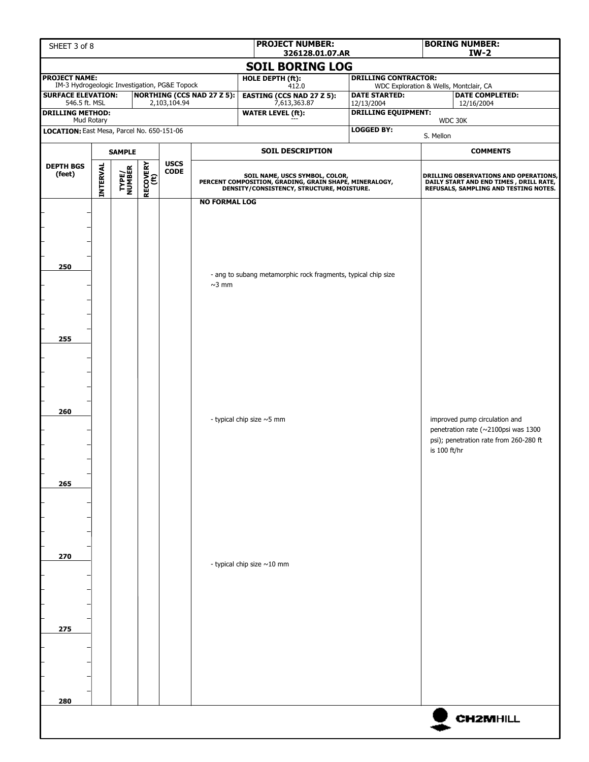| <b>PROJECT NUMBER:</b><br>SHEET 3 of 8<br>326128.01.07.AR             |                        |                 |                  |                      |                                      |                                                                                                                                       |                                                                       |              | <b>BORING NUMBER:</b><br>$IW-2$                                                                                           |  |  |
|-----------------------------------------------------------------------|------------------------|-----------------|------------------|----------------------|--------------------------------------|---------------------------------------------------------------------------------------------------------------------------------------|-----------------------------------------------------------------------|--------------|---------------------------------------------------------------------------------------------------------------------------|--|--|
|                                                                       | <b>SOIL BORING LOG</b> |                 |                  |                      |                                      |                                                                                                                                       |                                                                       |              |                                                                                                                           |  |  |
| <b>PROJECT NAME:</b><br>IM-3 Hydrogeologic Investigation, PG&E Topock |                        |                 |                  |                      |                                      | <b>HOLE DEPTH (ft):</b>                                                                                                               | <b>DRILLING CONTRACTOR:</b><br>WDC Exploration & Wells, Montclair, CA |              |                                                                                                                           |  |  |
| <b>SURFACE ELEVATION:</b>                                             |                        |                 |                  |                      | <b>NORTHING (CCS NAD 27 Z 5):</b>    | 412.0<br><b>EASTING (CCS NAD 27 Z 5):</b>                                                                                             | <b>DATE STARTED:</b>                                                  |              | <b>DATE COMPLETED:</b>                                                                                                    |  |  |
| 546.5 ft. MSL<br><b>DRILLING METHOD:</b>                              |                        |                 |                  | 2,103,104.94         |                                      | 7,613,363.87<br><b>WATER LEVEL (ft):</b>                                                                                              | 12/13/2004<br><b>DRILLING EQUIPMENT:</b>                              |              | 12/16/2004                                                                                                                |  |  |
| Mud Rotary                                                            |                        |                 |                  |                      |                                      |                                                                                                                                       |                                                                       |              | WDC 30K                                                                                                                   |  |  |
| LOCATION: East Mesa, Parcel No. 650-151-06                            |                        |                 |                  |                      |                                      |                                                                                                                                       | <b>LOGGED BY:</b>                                                     | S. Mellon    |                                                                                                                           |  |  |
| <b>SAMPLE</b>                                                         |                        |                 |                  |                      |                                      | <b>SOIL DESCRIPTION</b>                                                                                                               |                                                                       |              | <b>COMMENTS</b>                                                                                                           |  |  |
| <b>DEPTH BGS</b><br>(feet)                                            | <b>INTERVAL</b>        | TYPE/<br>NUMBER | RECOVERY<br>(ft) | <b>USCS<br/>CODE</b> |                                      | SOIL NAME, USCS SYMBOL, COLOR,<br>PERCENT COMPOSITION, GRADING, GRAIN SHAPE, MINERALOGY,<br>DENSITY/CONSISTENCY, STRUCTURE, MOISTURE. |                                                                       |              | DRILLING OBSERVATIONS AND OPERATIONS,<br>DAILY START AND END TIMES , DRILL RATE,<br>REFUSALS, SAMPLING AND TESTING NOTES. |  |  |
| 250                                                                   |                        |                 |                  |                      | <b>NO FORMAL LOG</b><br>$~\sim$ 3 mm | - ang to subang metamorphic rock fragments, typical chip size                                                                         |                                                                       |              |                                                                                                                           |  |  |
| 255                                                                   |                        |                 |                  |                      |                                      |                                                                                                                                       |                                                                       |              |                                                                                                                           |  |  |
| 260                                                                   |                        |                 |                  |                      |                                      | - typical chip size ~5 mm                                                                                                             |                                                                       | is 100 ft/hr | improved pump circulation and<br>penetration rate (~2100psi was 1300<br>psi); penetration rate from 260-280 ft            |  |  |
| 265                                                                   |                        |                 |                  |                      |                                      |                                                                                                                                       |                                                                       |              |                                                                                                                           |  |  |
| 270                                                                   |                        |                 |                  |                      |                                      | - typical chip size ~10 mm                                                                                                            |                                                                       |              |                                                                                                                           |  |  |
| 275                                                                   |                        |                 |                  |                      |                                      |                                                                                                                                       |                                                                       |              |                                                                                                                           |  |  |
| 280                                                                   |                        |                 |                  |                      |                                      |                                                                                                                                       |                                                                       |              | <b>CH2MHILL</b>                                                                                                           |  |  |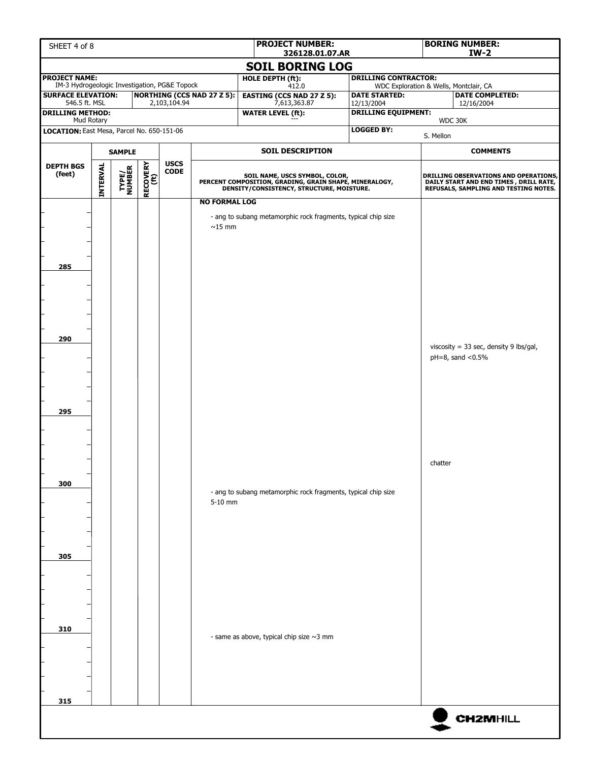| <b>PROJECT NUMBER:</b><br>SHEET 4 of 8<br>326128.01.07.AR             |                 |                 |                  |                            |                                      |                                                                                                                                       |  |                                          | <b>BORING NUMBER:</b><br>$IW-2$        |                                                                                                                          |  |
|-----------------------------------------------------------------------|-----------------|-----------------|------------------|----------------------------|--------------------------------------|---------------------------------------------------------------------------------------------------------------------------------------|--|------------------------------------------|----------------------------------------|--------------------------------------------------------------------------------------------------------------------------|--|
| <b>SOIL BORING LOG</b>                                                |                 |                 |                  |                            |                                      |                                                                                                                                       |  |                                          |                                        |                                                                                                                          |  |
| <b>PROJECT NAME:</b><br>IM-3 Hydrogeologic Investigation, PG&E Topock |                 |                 |                  |                            |                                      | HOLE DEPTH (ft):<br>412.0                                                                                                             |  | <b>DRILLING CONTRACTOR:</b>              | WDC Exploration & Wells, Montclair, CA |                                                                                                                          |  |
| <b>SURFACE ELEVATION:</b>                                             |                 |                 |                  |                            | <b>NORTHING (CCS NAD 27 Z 5):</b>    | <b>EASTING (CCS NAD 27 Z 5):</b>                                                                                                      |  | <b>DATE STARTED:</b>                     |                                        | <b>DATE COMPLETED:</b>                                                                                                   |  |
| 546.5 ft. MSL<br><b>DRILLING METHOD:</b>                              |                 |                 |                  | 2,103,104.94               |                                      | 7,613,363.87<br><b>WATER LEVEL (ft):</b>                                                                                              |  | 12/13/2004<br><b>DRILLING EQUIPMENT:</b> |                                        | 12/16/2004                                                                                                               |  |
| Mud Rotary<br>LOCATION: East Mesa, Parcel No. 650-151-06              |                 |                 |                  |                            |                                      |                                                                                                                                       |  | <b>LOGGED BY:</b>                        |                                        | WDC 30K                                                                                                                  |  |
|                                                                       |                 |                 |                  |                            |                                      |                                                                                                                                       |  |                                          | S. Mellon                              |                                                                                                                          |  |
| <b>SAMPLE</b>                                                         |                 |                 |                  |                            | <b>SOIL DESCRIPTION</b>              |                                                                                                                                       |  |                                          | <b>COMMENTS</b>                        |                                                                                                                          |  |
| <b>DEPTH BGS</b><br>(feet)                                            | <b>INTERVAL</b> | TYPE/<br>NUMBER | RECOVERY<br>(ft) | <b>USCS</b><br><b>CODE</b> |                                      | SOIL NAME, USCS SYMBOL, COLOR,<br>PERCENT COMPOSITION, GRADING, GRAIN SHAPE, MINERALOGY,<br>DENSITY/CONSISTENCY, STRUCTURE, MOISTURE. |  |                                          |                                        | DRILLING OBSERVATIONS AND OPERATIONS,<br>DAILY START AND END TIMES, DRILL RATE,<br>REFUSALS, SAMPLING AND TESTING NOTES. |  |
| 285                                                                   |                 |                 |                  |                            | <b>NO FORMAL LOG</b><br>$\sim$ 15 mm | - ang to subang metamorphic rock fragments, typical chip size                                                                         |  |                                          |                                        |                                                                                                                          |  |
| 290                                                                   |                 |                 |                  |                            |                                      |                                                                                                                                       |  |                                          |                                        | viscosity = 33 sec, density 9 lbs/gal,<br>$pH = 8$ , sand < $0.5\%$                                                      |  |
| 295                                                                   |                 |                 |                  |                            |                                      |                                                                                                                                       |  |                                          |                                        |                                                                                                                          |  |
| 300                                                                   |                 |                 |                  |                            | 5-10 mm                              | - ang to subang metamorphic rock fragments, typical chip size                                                                         |  |                                          | chatter                                |                                                                                                                          |  |
| 305                                                                   |                 |                 |                  |                            |                                      |                                                                                                                                       |  |                                          |                                        |                                                                                                                          |  |
| 310                                                                   |                 |                 |                  |                            |                                      | - same as above, typical chip size $\sim$ 3 mm                                                                                        |  |                                          |                                        |                                                                                                                          |  |
| 315                                                                   |                 |                 |                  |                            |                                      |                                                                                                                                       |  |                                          |                                        | <b>CH2MHILL</b>                                                                                                          |  |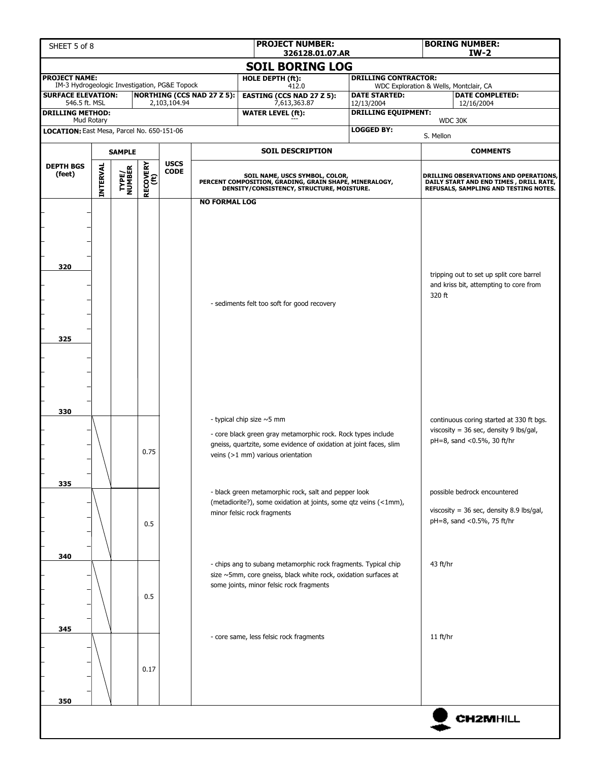| <b>PROJECT NUMBER:</b><br>SHEET 5 of 8<br>326128.01.07.AR                                           |                        |  |             |              |                                   |                                                                                                                                       |                            |                             | <b>BORING NUMBER:</b><br>$IW-2$                                                 |  |  |
|-----------------------------------------------------------------------------------------------------|------------------------|--|-------------|--------------|-----------------------------------|---------------------------------------------------------------------------------------------------------------------------------------|----------------------------|-----------------------------|---------------------------------------------------------------------------------|--|--|
|                                                                                                     | <b>SOIL BORING LOG</b> |  |             |              |                                   |                                                                                                                                       |                            |                             |                                                                                 |  |  |
| <b>PROJECT NAME:</b>                                                                                |                        |  |             |              |                                   | HOLE DEPTH (ft):                                                                                                                      |                            | <b>DRILLING CONTRACTOR:</b> |                                                                                 |  |  |
| IM-3 Hydrogeologic Investigation, PG&E Topock<br><b>SURFACE ELEVATION:</b>                          |                        |  |             |              | <b>NORTHING (CCS NAD 27 Z 5):</b> | 412.0<br><b>EASTING (CCS NAD 27 Z 5):</b>                                                                                             | <b>DATE STARTED:</b>       |                             | WDC Exploration & Wells, Montclair, CA<br><b>DATE COMPLETED:</b>                |  |  |
| 546.5 ft. MSL                                                                                       |                        |  |             | 2,103,104.94 |                                   | 7,613,363.87                                                                                                                          | 12/13/2004                 |                             | 12/16/2004                                                                      |  |  |
| <b>DRILLING METHOD:</b><br>Mud Rotary                                                               |                        |  |             |              |                                   | <b>WATER LEVEL (ft):</b>                                                                                                              | <b>DRILLING EQUIPMENT:</b> |                             | WDC 30K                                                                         |  |  |
| LOCATION: East Mesa, Parcel No. 650-151-06                                                          |                        |  |             |              |                                   |                                                                                                                                       | <b>LOGGED BY:</b>          | S. Mellon                   |                                                                                 |  |  |
| <b>SAMPLE</b>                                                                                       |                        |  |             |              |                                   | <b>SOIL DESCRIPTION</b>                                                                                                               |                            |                             | <b>COMMENTS</b>                                                                 |  |  |
| <b>RECOVERY</b><br>(ft)<br><b>INTERVAL</b><br><b>DEPTH BGS</b><br><b>TYPE/<br/>NUMBER</b><br>(feet) |                        |  | <b>USCS</b> |              |                                   |                                                                                                                                       |                            |                             |                                                                                 |  |  |
|                                                                                                     |                        |  |             | <b>CODE</b>  |                                   | SOIL NAME, USCS SYMBOL, COLOR,<br>PERCENT COMPOSITION, GRADING, GRAIN SHAPE, MINERALOGY,<br>DENSITY/CONSISTENCY, STRUCTURE, MOISTURE. |                            |                             | DRILLING OBSERVATIONS AND OPERATIONS,                                           |  |  |
|                                                                                                     |                        |  |             |              |                                   |                                                                                                                                       |                            |                             | DAILY START AND END TIMES, DRILL RATE,<br>REFUSALS, SAMPLING AND TESTING NOTES. |  |  |
|                                                                                                     |                        |  |             |              | <b>NO FORMAL LOG</b>              |                                                                                                                                       |                            |                             |                                                                                 |  |  |
|                                                                                                     |                        |  |             |              |                                   |                                                                                                                                       |                            |                             |                                                                                 |  |  |
|                                                                                                     |                        |  |             |              |                                   |                                                                                                                                       |                            |                             |                                                                                 |  |  |
|                                                                                                     |                        |  |             |              |                                   |                                                                                                                                       |                            |                             |                                                                                 |  |  |
| 320                                                                                                 |                        |  |             |              |                                   |                                                                                                                                       |                            |                             |                                                                                 |  |  |
|                                                                                                     |                        |  |             |              |                                   |                                                                                                                                       |                            |                             | tripping out to set up split core barrel                                        |  |  |
|                                                                                                     |                        |  |             |              |                                   |                                                                                                                                       |                            | 320 ft                      | and kriss bit, attempting to core from                                          |  |  |
|                                                                                                     |                        |  |             |              |                                   | - sediments felt too soft for good recovery                                                                                           |                            |                             |                                                                                 |  |  |
|                                                                                                     |                        |  |             |              |                                   |                                                                                                                                       |                            |                             |                                                                                 |  |  |
| 325                                                                                                 |                        |  |             |              |                                   |                                                                                                                                       |                            |                             |                                                                                 |  |  |
|                                                                                                     |                        |  |             |              |                                   |                                                                                                                                       |                            |                             |                                                                                 |  |  |
|                                                                                                     |                        |  |             |              |                                   |                                                                                                                                       |                            |                             |                                                                                 |  |  |
|                                                                                                     |                        |  |             |              |                                   |                                                                                                                                       |                            |                             |                                                                                 |  |  |
|                                                                                                     |                        |  |             |              |                                   |                                                                                                                                       |                            |                             |                                                                                 |  |  |
| 330                                                                                                 |                        |  |             |              |                                   |                                                                                                                                       |                            |                             |                                                                                 |  |  |
|                                                                                                     |                        |  |             |              |                                   | - typical chip size $\sim$ 5 mm                                                                                                       |                            |                             | continuous coring started at 330 ft bgs.                                        |  |  |
|                                                                                                     |                        |  |             |              |                                   | - core black green gray metamorphic rock. Rock types include                                                                          |                            |                             | viscosity = 36 sec, density 9 lbs/gal,<br>pH=8, sand <0.5%, 30 ft/hr            |  |  |
|                                                                                                     |                        |  | 0.75        |              |                                   | gneiss, quartzite, some evidence of oxidation at joint faces, slim<br>veins (>1 mm) various orientation                               |                            |                             |                                                                                 |  |  |
|                                                                                                     |                        |  |             |              |                                   |                                                                                                                                       |                            |                             |                                                                                 |  |  |
| 335                                                                                                 |                        |  |             |              |                                   |                                                                                                                                       |                            |                             |                                                                                 |  |  |
|                                                                                                     |                        |  |             |              |                                   | - black green metamorphic rock, salt and pepper look                                                                                  |                            |                             | possible bedrock encountered                                                    |  |  |
|                                                                                                     |                        |  |             |              |                                   | (metadiorite?), some oxidation at joints, some qtz veins (<1mm),<br>minor felsic rock fragments                                       |                            |                             | viscosity = $36$ sec, density 8.9 lbs/gal,                                      |  |  |
|                                                                                                     |                        |  | 0.5         |              |                                   |                                                                                                                                       |                            |                             | pH=8, sand <0.5%, 75 ft/hr                                                      |  |  |
|                                                                                                     |                        |  |             |              |                                   |                                                                                                                                       |                            |                             |                                                                                 |  |  |
| 340                                                                                                 |                        |  |             |              |                                   |                                                                                                                                       |                            |                             |                                                                                 |  |  |
|                                                                                                     |                        |  |             |              |                                   | - chips ang to subang metamorphic rock fragments. Typical chip                                                                        |                            | 43 ft/hr                    |                                                                                 |  |  |
|                                                                                                     |                        |  |             |              |                                   | size ~5mm, core gneiss, black white rock, oxidation surfaces at<br>some joints, minor felsic rock fragments                           |                            |                             |                                                                                 |  |  |
|                                                                                                     |                        |  | 0.5         |              |                                   |                                                                                                                                       |                            |                             |                                                                                 |  |  |
|                                                                                                     |                        |  |             |              |                                   |                                                                                                                                       |                            |                             |                                                                                 |  |  |
| 345                                                                                                 |                        |  |             |              |                                   |                                                                                                                                       |                            |                             |                                                                                 |  |  |
|                                                                                                     |                        |  |             |              |                                   | - core same, less felsic rock fragments                                                                                               |                            | 11 ft/hr                    |                                                                                 |  |  |
|                                                                                                     |                        |  |             |              |                                   |                                                                                                                                       |                            |                             |                                                                                 |  |  |
|                                                                                                     |                        |  | 0.17        |              |                                   |                                                                                                                                       |                            |                             |                                                                                 |  |  |
|                                                                                                     |                        |  |             |              |                                   |                                                                                                                                       |                            |                             |                                                                                 |  |  |
| 350                                                                                                 |                        |  |             |              |                                   |                                                                                                                                       |                            |                             |                                                                                 |  |  |
|                                                                                                     |                        |  |             |              |                                   |                                                                                                                                       |                            |                             |                                                                                 |  |  |
|                                                                                                     |                        |  |             |              |                                   |                                                                                                                                       |                            |                             | <b>CH2MHILL</b>                                                                 |  |  |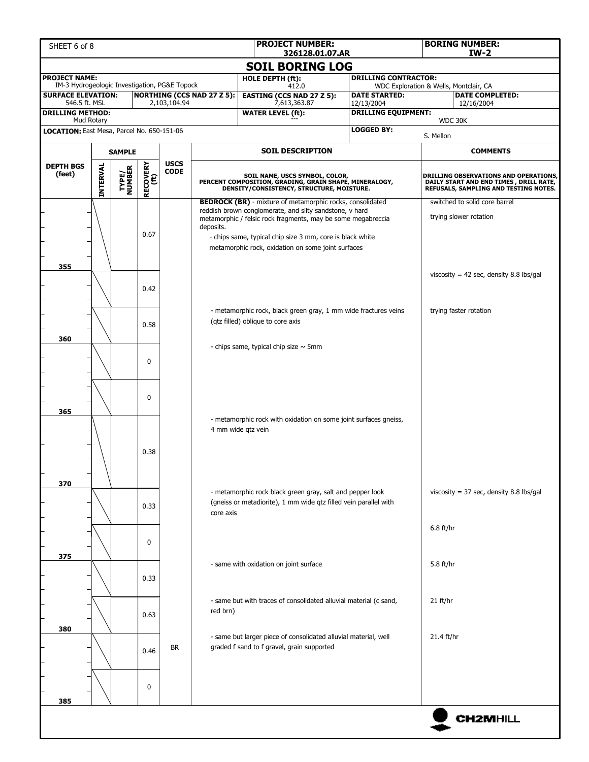| SHEET 6 of 8                                                          |                 |                 |                         |                            |                                   | <b>PROJECT NUMBER:</b>                                                                                                                                                                                                                                                                                         | <b>BORING NUMBER:</b><br>$IW-2$<br>326128.01.07.AR |                                                                                                                                 |                                                         |  |  |
|-----------------------------------------------------------------------|-----------------|-----------------|-------------------------|----------------------------|-----------------------------------|----------------------------------------------------------------------------------------------------------------------------------------------------------------------------------------------------------------------------------------------------------------------------------------------------------------|----------------------------------------------------|---------------------------------------------------------------------------------------------------------------------------------|---------------------------------------------------------|--|--|
|                                                                       |                 |                 |                         |                            |                                   | <b>SOIL BORING LOG</b>                                                                                                                                                                                                                                                                                         |                                                    |                                                                                                                                 |                                                         |  |  |
| <b>PROJECT NAME:</b><br>IM-3 Hydrogeologic Investigation, PG&E Topock |                 |                 |                         |                            |                                   | HOLE DEPTH (ft):                                                                                                                                                                                                                                                                                               | <b>DRILLING CONTRACTOR:</b>                        |                                                                                                                                 |                                                         |  |  |
| <b>SURFACE ELEVATION:</b>                                             |                 |                 |                         |                            | <b>NORTHING (CCS NAD 27 Z 5):</b> | 412.0<br><b>EASTING (CCS NAD 27 Z 5):</b>                                                                                                                                                                                                                                                                      | <b>DATE STARTED:</b>                               | WDC Exploration & Wells, Montclair, CA<br><b>DATE COMPLETED:</b>                                                                |                                                         |  |  |
| 546.5 ft. MSL<br><b>DRILLING METHOD:</b>                              |                 |                 |                         | 2,103,104.94               |                                   | 7,613,363.87<br><b>WATER LEVEL (ft):</b>                                                                                                                                                                                                                                                                       | 12/13/2004                                         | 12/16/2004<br><b>DRILLING EQUIPMENT:</b>                                                                                        |                                                         |  |  |
|                                                                       | Mud Rotary      |                 |                         |                            |                                   |                                                                                                                                                                                                                                                                                                                |                                                    |                                                                                                                                 | WDC 30K                                                 |  |  |
| LOCATION: East Mesa, Parcel No. 650-151-06                            |                 |                 |                         |                            |                                   |                                                                                                                                                                                                                                                                                                                | <b>LOGGED BY:</b>                                  | S. Mellon                                                                                                                       |                                                         |  |  |
| <b>SAMPLE</b>                                                         |                 |                 |                         |                            |                                   | <b>SOIL DESCRIPTION</b>                                                                                                                                                                                                                                                                                        |                                                    |                                                                                                                                 | <b>COMMENTS</b>                                         |  |  |
| <b>DEPTH BGS</b><br>(feet)                                            | <b>INTERVAL</b> | TYPE/<br>NUMBER | <b>RECOVERY</b><br>(ft) | <b>USCS</b><br><b>CODE</b> |                                   | SOIL NAME, USCS SYMBOL, COLOR,<br>PERCENT COMPOSITION, GRADING, GRAIN SHAPE, MINERALOGY,<br>DENSITY/CONSISTENCY, STRUCTURE, MOISTURE.                                                                                                                                                                          |                                                    | <b>DRILLING OBSERVATIONS AND OPERATIONS,</b><br>DAILY START AND END TIMES, DRILL RATE,<br>REFUSALS, SAMPLING AND TESTING NOTES. |                                                         |  |  |
|                                                                       |                 |                 | 0.67                    |                            | deposits.                         | <b>BEDROCK (BR)</b> - mixture of metamorphic rocks, consolidated<br>reddish brown conglomerate, and silty sandstone, v hard<br>metamorphic / felsic rock fragments, may be some megabreccia<br>- chips same, typical chip size 3 mm, core is black white<br>metamorphic rock, oxidation on some joint surfaces |                                                    |                                                                                                                                 | switched to solid core barrel<br>trying slower rotation |  |  |
| 355                                                                   |                 |                 | 0.42                    |                            |                                   |                                                                                                                                                                                                                                                                                                                |                                                    |                                                                                                                                 | viscosity = 42 sec, density 8.8 lbs/gal                 |  |  |
| 360                                                                   |                 |                 | 0.58                    |                            |                                   | - metamorphic rock, black green gray, 1 mm wide fractures veins<br>(qtz filled) oblique to core axis                                                                                                                                                                                                           |                                                    |                                                                                                                                 | trying faster rotation                                  |  |  |
|                                                                       |                 |                 | $\Omega$                |                            |                                   | - chips same, typical chip size $\sim$ 5mm                                                                                                                                                                                                                                                                     |                                                    |                                                                                                                                 |                                                         |  |  |
| 365                                                                   |                 |                 | $\mathbf{0}$            |                            |                                   | - metamorphic rock with oxidation on some joint surfaces gneiss,                                                                                                                                                                                                                                               |                                                    |                                                                                                                                 |                                                         |  |  |
|                                                                       |                 |                 | 0.38                    |                            |                                   | 4 mm wide qtz vein                                                                                                                                                                                                                                                                                             |                                                    |                                                                                                                                 |                                                         |  |  |
| 370                                                                   |                 |                 | 0.33                    |                            | core axis                         | - metamorphic rock black green gray, salt and pepper look<br>(gneiss or metadiorite), 1 mm wide qtz filled vein parallel with                                                                                                                                                                                  |                                                    |                                                                                                                                 | viscosity = $37$ sec, density 8.8 lbs/gal               |  |  |
| 375                                                                   |                 |                 | $\mathbf{0}$            |                            |                                   |                                                                                                                                                                                                                                                                                                                |                                                    | $6.8$ ft/hr                                                                                                                     |                                                         |  |  |
|                                                                       |                 |                 | 0.33                    |                            |                                   | - same with oxidation on joint surface                                                                                                                                                                                                                                                                         |                                                    | 5.8 ft/hr                                                                                                                       |                                                         |  |  |
| 380                                                                   |                 |                 | 0.63                    |                            | red brn)                          | - same but with traces of consolidated alluvial material (c sand,                                                                                                                                                                                                                                              |                                                    | 21 ft/hr                                                                                                                        |                                                         |  |  |
|                                                                       |                 |                 | 0.46                    | <b>BR</b>                  |                                   | - same but larger piece of consolidated alluvial material, well<br>graded f sand to f gravel, grain supported                                                                                                                                                                                                  |                                                    | 21.4 ft/hr                                                                                                                      |                                                         |  |  |
| 385                                                                   |                 |                 | 0                       |                            |                                   |                                                                                                                                                                                                                                                                                                                |                                                    |                                                                                                                                 |                                                         |  |  |
|                                                                       |                 |                 |                         |                            |                                   |                                                                                                                                                                                                                                                                                                                |                                                    |                                                                                                                                 | <b>CH2MHILL</b>                                         |  |  |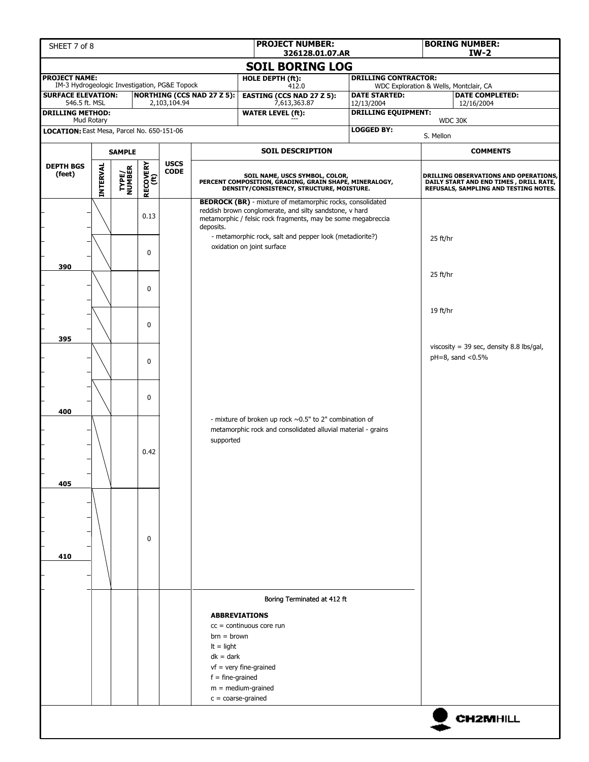| <b>PROJECT NUMBER:</b><br>SHEET 7 of 8<br>326128.01.07.AR                  |                 |                 |                  |                            |                                                                    |                                                                                                                                                                                             |                                          |                                                                                                                          | <b>BORING NUMBER:</b><br>$IW-2$                                       |  |  |
|----------------------------------------------------------------------------|-----------------|-----------------|------------------|----------------------------|--------------------------------------------------------------------|---------------------------------------------------------------------------------------------------------------------------------------------------------------------------------------------|------------------------------------------|--------------------------------------------------------------------------------------------------------------------------|-----------------------------------------------------------------------|--|--|
|                                                                            |                 |                 |                  |                            |                                                                    | <b>SOIL BORING LOG</b>                                                                                                                                                                      |                                          |                                                                                                                          |                                                                       |  |  |
| <b>PROJECT NAME:</b>                                                       |                 |                 |                  |                            |                                                                    | HOLE DEPTH (ft):                                                                                                                                                                            |                                          | <b>DRILLING CONTRACTOR:</b>                                                                                              |                                                                       |  |  |
| IM-3 Hydrogeologic Investigation, PG&E Topock<br><b>SURFACE ELEVATION:</b> |                 |                 |                  |                            | <b>NORTHING (CCS NAD 27 Z 5):</b>                                  | 412.0<br><b>EASTING (CCS NAD 27 Z 5):</b>                                                                                                                                                   | <b>DATE STARTED:</b>                     | WDC Exploration & Wells, Montclair, CA<br><b>DATE COMPLETED:</b>                                                         |                                                                       |  |  |
| 546.5 ft. MSL<br><b>DRILLING METHOD:</b>                                   |                 |                 |                  | 2,103,104.94               |                                                                    | 7,613,363.87<br><b>WATER LEVEL (ft):</b>                                                                                                                                                    | 12/13/2004<br><b>DRILLING EQUIPMENT:</b> |                                                                                                                          | 12/16/2004                                                            |  |  |
|                                                                            | Mud Rotary      |                 |                  |                            |                                                                    |                                                                                                                                                                                             |                                          |                                                                                                                          | WDC 30K                                                               |  |  |
| LOCATION: East Mesa, Parcel No. 650-151-06                                 |                 |                 |                  |                            |                                                                    |                                                                                                                                                                                             | <b>LOGGED BY:</b>                        | S. Mellon                                                                                                                |                                                                       |  |  |
| <b>SAMPLE</b>                                                              |                 |                 |                  |                            |                                                                    | <b>SOIL DESCRIPTION</b>                                                                                                                                                                     |                                          |                                                                                                                          | <b>COMMENTS</b>                                                       |  |  |
| <b>DEPTH BGS</b><br>(feet)                                                 | <b>INTERVAL</b> | TYPE/<br>NUMBER | RECOVERY<br>(ft) | <b>USCS</b><br><b>CODE</b> |                                                                    | SOIL NAME, USCS SYMBOL, COLOR,<br>PERCENT COMPOSITION, GRADING, GRAIN SHAPE, MINERALOGY,<br>DENSITY/CONSISTENCY, STRUCTURE, MOISTURE.                                                       |                                          | DRILLING OBSERVATIONS AND OPERATIONS,<br>DAILY START AND END TIMES, DRILL RATE,<br>REFUSALS, SAMPLING AND TESTING NOTES. |                                                                       |  |  |
|                                                                            |                 |                 | 0.13             |                            | deposits.                                                          | <b>BEDROCK (BR)</b> - mixture of metamorphic rocks, consolidated<br>reddish brown conglomerate, and silty sandstone, v hard<br>metamorphic / felsic rock fragments, may be some megabreccia |                                          |                                                                                                                          |                                                                       |  |  |
| 390                                                                        |                 |                 | $\mathbf{0}$     |                            |                                                                    | - metamorphic rock, salt and pepper look (metadiorite?)<br>oxidation on joint surface                                                                                                       |                                          | $25$ ft/hr                                                                                                               |                                                                       |  |  |
|                                                                            |                 |                 | $\mathbf{0}$     |                            |                                                                    |                                                                                                                                                                                             |                                          | 25 ft/hr                                                                                                                 |                                                                       |  |  |
| 395                                                                        |                 |                 | $\mathbf{0}$     |                            |                                                                    |                                                                                                                                                                                             |                                          | 19 ft/hr                                                                                                                 |                                                                       |  |  |
|                                                                            |                 |                 | $\mathbf 0$      |                            |                                                                    |                                                                                                                                                                                             |                                          |                                                                                                                          | viscosity = 39 sec, density 8.8 lbs/gal,<br>$pH = 8$ , sand < $0.5\%$ |  |  |
| 400                                                                        |                 |                 | $\mathbf{0}$     |                            |                                                                    | - mixture of broken up rock $\sim 0.5$ " to 2" combination of                                                                                                                               |                                          |                                                                                                                          |                                                                       |  |  |
| 405                                                                        |                 |                 | 0.42             |                            | supported                                                          | metamorphic rock and consolidated alluvial material - grains                                                                                                                                |                                          |                                                                                                                          |                                                                       |  |  |
| 410                                                                        |                 |                 | $\mathbf 0$      |                            |                                                                    |                                                                                                                                                                                             |                                          |                                                                                                                          |                                                                       |  |  |
|                                                                            |                 |                 |                  |                            |                                                                    | Boring Terminated at 412 ft                                                                                                                                                                 |                                          |                                                                                                                          |                                                                       |  |  |
|                                                                            |                 |                 |                  |                            | $brn = brown$<br>$It = light$<br>$dk = dark$<br>$f = fine-grained$ | <b>ABBREVIATIONS</b><br>$cc =$ continuous core run<br>$vf = very fine-grained$<br>$m = medium-grained$<br>$c = coarse-grained$                                                              |                                          |                                                                                                                          |                                                                       |  |  |
|                                                                            |                 |                 |                  |                            |                                                                    |                                                                                                                                                                                             |                                          |                                                                                                                          | <b>CH2MHILL</b>                                                       |  |  |